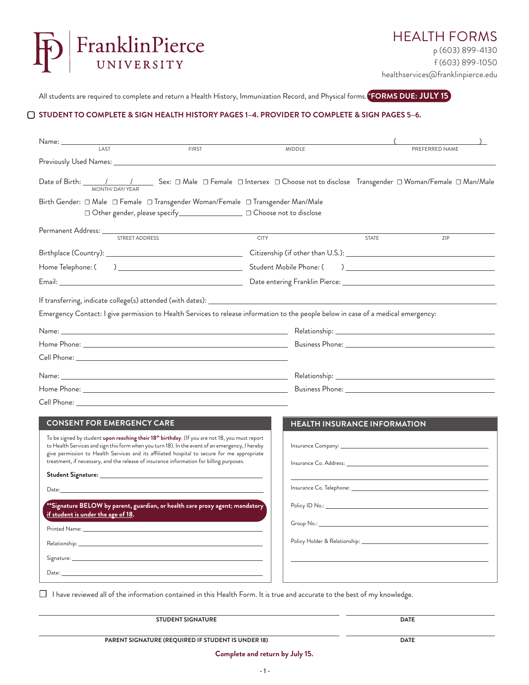

All students are required to complete and return a Health History, Immunization Record, and Physical forms. <sup>\*</sup>**FORMS DUE: JULY 15** 

## **STUDENT TO COMPLETE & SIGN HEALTH HISTORY PAGES 1–4. PROVIDER TO COMPLETE & SIGN PAGES 5–6.**

| Name: __________<br>LAST<br><b>FIRST</b>                                                                                                                                                                                                                                                                                                                                                                       | <b>MIDDLE</b>                                                                                                                                                                                                                  |              | PREFERRED NAME                                                                                                                                                                                                                                                                                                                                                                    |  |
|----------------------------------------------------------------------------------------------------------------------------------------------------------------------------------------------------------------------------------------------------------------------------------------------------------------------------------------------------------------------------------------------------------------|--------------------------------------------------------------------------------------------------------------------------------------------------------------------------------------------------------------------------------|--------------|-----------------------------------------------------------------------------------------------------------------------------------------------------------------------------------------------------------------------------------------------------------------------------------------------------------------------------------------------------------------------------------|--|
|                                                                                                                                                                                                                                                                                                                                                                                                                |                                                                                                                                                                                                                                |              |                                                                                                                                                                                                                                                                                                                                                                                   |  |
| MONTH/ DAY/ YEAR<br>Birth Gender: □ Male □ Female □ Transgender Woman/Female □ Transgender Man/Male<br>□ Other gender, please specify_______________________ □ Choose not to disclose                                                                                                                                                                                                                          |                                                                                                                                                                                                                                |              |                                                                                                                                                                                                                                                                                                                                                                                   |  |
| Permanent Address: _____________<br>STREET ADDRESS                                                                                                                                                                                                                                                                                                                                                             | <b>CITY</b>                                                                                                                                                                                                                    | <b>STATE</b> | ZIP                                                                                                                                                                                                                                                                                                                                                                               |  |
|                                                                                                                                                                                                                                                                                                                                                                                                                |                                                                                                                                                                                                                                |              |                                                                                                                                                                                                                                                                                                                                                                                   |  |
| Home Telephone: (                                                                                                                                                                                                                                                                                                                                                                                              | Student Mobile Phone: (                                                                                                                                                                                                        |              | $\begin{picture}(150,10) \put(0,0){\dashbox{0.5}(10,0){ }} \put(150,0){\circle{10}} \put(150,0){\circle{10}} \put(150,0){\circle{10}} \put(150,0){\circle{10}} \put(150,0){\circle{10}} \put(150,0){\circle{10}} \put(150,0){\circle{10}} \put(150,0){\circle{10}} \put(150,0){\circle{10}} \put(150,0){\circle{10}} \put(150,0){\circle{10}} \put(150,0){\circle{10}} \put(150,$ |  |
|                                                                                                                                                                                                                                                                                                                                                                                                                |                                                                                                                                                                                                                                |              |                                                                                                                                                                                                                                                                                                                                                                                   |  |
|                                                                                                                                                                                                                                                                                                                                                                                                                |                                                                                                                                                                                                                                |              |                                                                                                                                                                                                                                                                                                                                                                                   |  |
| Emergency Contact: I give permission to Health Services to release information to the people below in case of a medical emergency:                                                                                                                                                                                                                                                                             |                                                                                                                                                                                                                                |              |                                                                                                                                                                                                                                                                                                                                                                                   |  |
|                                                                                                                                                                                                                                                                                                                                                                                                                |                                                                                                                                                                                                                                |              |                                                                                                                                                                                                                                                                                                                                                                                   |  |
|                                                                                                                                                                                                                                                                                                                                                                                                                |                                                                                                                                                                                                                                |              |                                                                                                                                                                                                                                                                                                                                                                                   |  |
|                                                                                                                                                                                                                                                                                                                                                                                                                |                                                                                                                                                                                                                                |              |                                                                                                                                                                                                                                                                                                                                                                                   |  |
|                                                                                                                                                                                                                                                                                                                                                                                                                |                                                                                                                                                                                                                                |              |                                                                                                                                                                                                                                                                                                                                                                                   |  |
|                                                                                                                                                                                                                                                                                                                                                                                                                |                                                                                                                                                                                                                                |              |                                                                                                                                                                                                                                                                                                                                                                                   |  |
|                                                                                                                                                                                                                                                                                                                                                                                                                |                                                                                                                                                                                                                                |              |                                                                                                                                                                                                                                                                                                                                                                                   |  |
| <b>CONSENT FOR EMERGENCY CARE</b>                                                                                                                                                                                                                                                                                                                                                                              | <b>HEALTH INSURANCE INFORMATION</b>                                                                                                                                                                                            |              |                                                                                                                                                                                                                                                                                                                                                                                   |  |
| To be signed by student <b>upon reaching their 18<sup>th</sup> birthday</b> . (If you are not 18, you must report<br>to Health Services and sign this form when you turn 18). In the event of an emergency, I hereby<br>give permission to Health Services and its affiliated hospital to secure for me appropriate<br>treatment, if necessary, and the release of insurance information for billing purposes. | Insurance Co. Address: North States and States and States and States and States and States and States and States and States and States and States and States and States and States and States and States and States and States |              |                                                                                                                                                                                                                                                                                                                                                                                   |  |
|                                                                                                                                                                                                                                                                                                                                                                                                                |                                                                                                                                                                                                                                |              |                                                                                                                                                                                                                                                                                                                                                                                   |  |
| Date: the contract of the contract of the contract of the contract of the contract of the contract of the contract of the contract of the contract of the contract of the contract of the contract of the contract of the cont                                                                                                                                                                                 |                                                                                                                                                                                                                                |              |                                                                                                                                                                                                                                                                                                                                                                                   |  |
| *Signature BELOW by parent, guardian, or health care proxy agent; mandatory<br>if student is under the age of 18.                                                                                                                                                                                                                                                                                              |                                                                                                                                                                                                                                |              |                                                                                                                                                                                                                                                                                                                                                                                   |  |
| Printed Name: Name and Secretary Annual Secretary and Secretary Annual Secretary Annual Secretary Annual Secretary Annual Secretary Annual Secretary Annual Secretary Annual Secretary Annual Secretary Annual Secretary Annua                                                                                                                                                                                 | Group No.:                                                                                                                                                                                                                     |              |                                                                                                                                                                                                                                                                                                                                                                                   |  |
|                                                                                                                                                                                                                                                                                                                                                                                                                |                                                                                                                                                                                                                                |              |                                                                                                                                                                                                                                                                                                                                                                                   |  |
|                                                                                                                                                                                                                                                                                                                                                                                                                |                                                                                                                                                                                                                                |              |                                                                                                                                                                                                                                                                                                                                                                                   |  |
| Date: <u>www.community.community.community.com</u>                                                                                                                                                                                                                                                                                                                                                             |                                                                                                                                                                                                                                |              |                                                                                                                                                                                                                                                                                                                                                                                   |  |
| I have reviewed all of the information contained in this Health Form. It is true and accurate to the best of my knowledge.                                                                                                                                                                                                                                                                                     |                                                                                                                                                                                                                                |              |                                                                                                                                                                                                                                                                                                                                                                                   |  |

| <b>STUDENT SIGNATURE</b>                                  | <b>DATE</b> |
|-----------------------------------------------------------|-------------|
|                                                           |             |
| <b>PARENT SIGNATURE (REQUIRED IF STUDENT IS UNDER 18)</b> | <b>DATE</b> |

 $\overline{a}$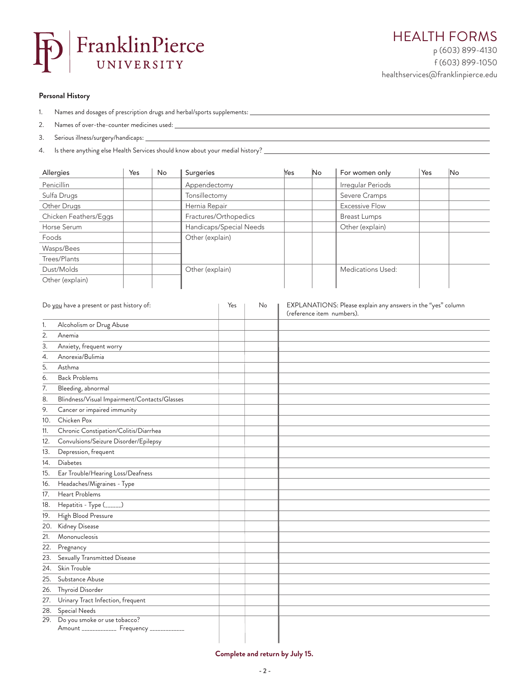

## **Personal History**

- 1. Names and dosages of prescription drugs and herbal/sports supplements:
- 2. Names of over-the-counter medicines used:
- 3. Serious illness/surgery/handicaps:
- 4. Is there anything else Health Services should know about your medial history?

| Allergies             | Yes | No | Surgeries               | Yes | No | For women only        | Yes | No |
|-----------------------|-----|----|-------------------------|-----|----|-----------------------|-----|----|
| Penicillin            |     |    | Appendectomy            |     |    | Irregular Periods     |     |    |
| Sulfa Drugs           |     |    | Tonsillectomy           |     |    | Severe Cramps         |     |    |
| Other Drugs           |     |    | Hernia Repair           |     |    | <b>Excessive Flow</b> |     |    |
| Chicken Feathers/Eggs |     |    | Fractures/Orthopedics   |     |    | <b>Breast Lumps</b>   |     |    |
| Horse Serum           |     |    | Handicaps/Special Needs |     |    | Other (explain)       |     |    |
| Foods                 |     |    | Other (explain)         |     |    |                       |     |    |
| Wasps/Bees            |     |    |                         |     |    |                       |     |    |
| Trees/Plants          |     |    |                         |     |    |                       |     |    |
| Dust/Molds            |     |    | Other (explain)         |     |    | Medications Used:     |     |    |
| Other (explain)       |     |    |                         |     |    |                       |     |    |

| Do you have a present or past history of: |                                              | Yes | No | EXPLANATIONS: Please explain any answers in the "yes" column<br>(reference item numbers). |
|-------------------------------------------|----------------------------------------------|-----|----|-------------------------------------------------------------------------------------------|
| 1.                                        | Alcoholism or Drug Abuse                     |     |    |                                                                                           |
| 2.                                        | Anemia                                       |     |    |                                                                                           |
| 3.                                        | Anxiety, frequent worry                      |     |    |                                                                                           |
| 4.                                        | Anorexia/Bulimia                             |     |    |                                                                                           |
| 5.                                        | Asthma                                       |     |    |                                                                                           |
| 6.                                        | <b>Back Problems</b>                         |     |    |                                                                                           |
| 7.                                        | Bleeding, abnormal                           |     |    |                                                                                           |
| 8.                                        | Blindness/Visual Impairment/Contacts/Glasses |     |    |                                                                                           |
| 9.                                        | Cancer or impaired immunity                  |     |    |                                                                                           |
| 10.                                       | Chicken Pox                                  |     |    |                                                                                           |
| 11.                                       | Chronic Constipation/Colitis/Diarrhea        |     |    |                                                                                           |
| 12.                                       | Convulsions/Seizure Disorder/Epilepsy        |     |    |                                                                                           |
| 13.                                       | Depression, frequent                         |     |    |                                                                                           |
| 14.                                       | Diabetes                                     |     |    |                                                                                           |
| 15.                                       | Ear Trouble/Hearing Loss/Deafness            |     |    |                                                                                           |
| 16.                                       | Headaches/Migraines - Type                   |     |    |                                                                                           |
| 17.                                       | Heart Problems                               |     |    |                                                                                           |
| 18.                                       | Hepatitis - Type (______)                    |     |    |                                                                                           |
| 19.                                       | High Blood Pressure                          |     |    |                                                                                           |
| 20.                                       | Kidney Disease                               |     |    |                                                                                           |
| 21.                                       | Mononucleosis                                |     |    |                                                                                           |
| 22.                                       | Pregnancy                                    |     |    |                                                                                           |
| 23.                                       | Sexually Transmitted Disease                 |     |    |                                                                                           |
| 24.                                       | Skin Trouble                                 |     |    |                                                                                           |
| 25.                                       | Substance Abuse                              |     |    |                                                                                           |
| 26.                                       | Thyroid Disorder                             |     |    |                                                                                           |
| 27.                                       | Urinary Tract Infection, frequent            |     |    |                                                                                           |
| 28.                                       | Special Needs                                |     |    |                                                                                           |
|                                           | 29. Do you smoke or use tobacco?             |     |    |                                                                                           |
|                                           | Amount _____________ Frequency ____________  |     |    |                                                                                           |
|                                           |                                              |     |    |                                                                                           |

## **Complete and return by July 15.**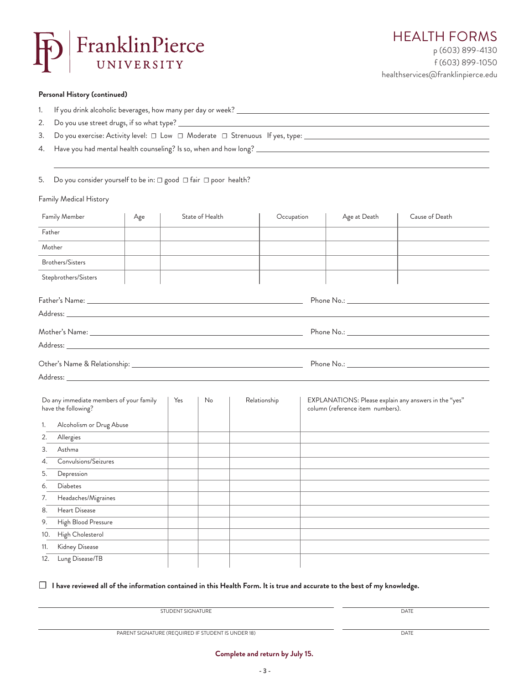

f (603) 899-1050 healthservices@franklinpierce.edu

<u> 1989 - Johann Barn, mars ann an t-Amhain Aonaich an t-Aonaich an t-Aonaich ann an t-Aonaich ann an t-Aonaich</u>

## **Personal History (continued)**

- 1. If you drink alcoholic beverages, how many per day or week?
- 2. Do you use street drugs, if so what type? \_\_\_\_\_\_\_\_\_\_\_\_\_\_\_\_\_\_\_\_\_\_\_\_\_\_\_\_\_\_\_\_\_\_\_
- 3. Do you exercise: Activity level: □ Low □ Moderate □ Strenuous If yes, type: \_\_\_\_\_\_\_\_\_\_\_\_\_\_\_\_\_\_\_\_
- 4. Have you had mental health counseling? Is so, when and how long?

5. Do you consider yourself to be in: □ good □ fair □ poor health?

## Family Medical History

| Family Member                                                  | Age |     | State of Health | Occupation   | Age at Death                     | Cause of Death                                                                                                                                                                                                                 |
|----------------------------------------------------------------|-----|-----|-----------------|--------------|----------------------------------|--------------------------------------------------------------------------------------------------------------------------------------------------------------------------------------------------------------------------------|
| Father                                                         |     |     |                 |              |                                  |                                                                                                                                                                                                                                |
| Mother                                                         |     |     |                 |              |                                  |                                                                                                                                                                                                                                |
| <b>Brothers/Sisters</b>                                        |     |     |                 |              |                                  |                                                                                                                                                                                                                                |
| Stepbrothers/Sisters                                           |     |     |                 |              |                                  |                                                                                                                                                                                                                                |
|                                                                |     |     |                 |              |                                  |                                                                                                                                                                                                                                |
|                                                                |     |     |                 |              |                                  |                                                                                                                                                                                                                                |
|                                                                |     |     |                 |              |                                  |                                                                                                                                                                                                                                |
|                                                                |     |     |                 |              |                                  |                                                                                                                                                                                                                                |
|                                                                |     |     |                 |              |                                  | Phone No.: The contract of the contract of the contract of the contract of the contract of the contract of the contract of the contract of the contract of the contract of the contract of the contract of the contract of the |
|                                                                |     |     |                 |              |                                  |                                                                                                                                                                                                                                |
|                                                                |     |     |                 |              |                                  |                                                                                                                                                                                                                                |
| Do any immediate members of your family<br>have the following? |     | Yes | No              | Relationship | column (reference item numbers). | EXPLANATIONS: Please explain any answers in the "yes"                                                                                                                                                                          |
| Alcoholism or Drug Abuse<br>1.                                 |     |     |                 |              |                                  |                                                                                                                                                                                                                                |
| Allergies<br>2.                                                |     |     |                 |              |                                  |                                                                                                                                                                                                                                |
| Asthma<br>3.                                                   |     |     |                 |              |                                  |                                                                                                                                                                                                                                |
| Convulsions/Seizures<br>4.                                     |     |     |                 |              |                                  |                                                                                                                                                                                                                                |
| Depression<br>5.                                               |     |     |                 |              |                                  |                                                                                                                                                                                                                                |
| <b>Diabetes</b><br>6.                                          |     |     |                 |              |                                  |                                                                                                                                                                                                                                |
| Headaches/Migraines<br>7.                                      |     |     |                 |              |                                  |                                                                                                                                                                                                                                |
| Heart Disease<br>8.                                            |     |     |                 |              |                                  |                                                                                                                                                                                                                                |
| High Blood Pressure<br>9.                                      |     |     |                 |              |                                  |                                                                                                                                                                                                                                |
| High Cholesterol<br>10.                                        |     |     |                 |              |                                  |                                                                                                                                                                                                                                |
| Kidney Disease<br>11.                                          |     |     |                 |              |                                  |                                                                                                                                                                                                                                |
| Lung Disease/TB<br>12.                                         |     |     |                 |              |                                  |                                                                                                                                                                                                                                |
|                                                                |     |     |                 |              |                                  |                                                                                                                                                                                                                                |

## ☐ **I have reviewed all of the information contained in this Health Form. It is true and accurate to the best of my knowledge.**

| STUDENT SIGNATURE | DATE |
|-------------------|------|
|                   |      |
|                   |      |

**- 3 -**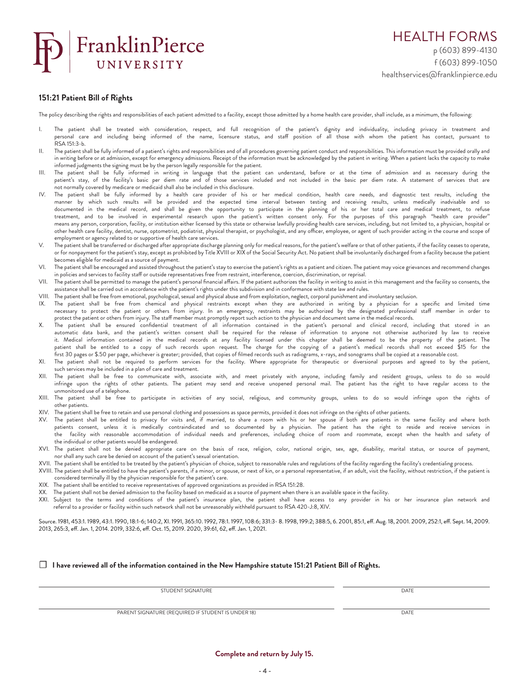

#### **151:21 Patient Bill of Rights**

The policy describing the rights and responsibilities of each patient admitted to a facility, except those admitted by a home health care provider, shall include, as a minimum, the following:

- I. The patient shall be treated with consideration, respect, and full recognition of the patient's dignity and individuality, including privacy in treatment and personal care and including being informed of the name, licensure status, and staff position of all those with whom the patient has contact, pursuant to RSA 151:3-b.
- II. The patient shall be fully informed of a patient's rights and responsibilities and of all procedures governing patient conduct and responsibilities. This information must be provided orally and in writing before or at admission, except for emergency admissions. Receipt of the information must be acknowledged by the patient in writing. When a patient lacks the capacity to make informed judgments the signing must be by the person legally responsible for the patient.
- III. The patient shall be fully informed in writing in language that the patient can understand, before or at the time of admission and as necessary during the patient's stay, of the facility's basic per diem rate and of those services included and not included in the basic per diem rate. A statement of services that are not normally covered by medicare or medicaid shall also be included in this disclosure.
- IV. The patient shall be fully informed by a health care provider of his or her medical condition, health care needs, and diagnostic test results, including the manner by which such results will be provided and the expected time interval between testing and receiving results, unless medically inadvisable and so documented in the medical record, and shall be given the opportunity to participate in the planning of his or her total care and medical treatment, to refuse treatment, and to be involved in experimental research upon the patient's written consent only. For the purposes of this paragraph "health care provider'' means any person, corporation, facility, or institution either licensed by this state or otherwise lawfully providing health care services, including, but not limited to, a physician, hospital or other health care facility, dentist, nurse, optometrist, podiatrist, physical therapist, or psychologist, and any officer, employee, or agent of such provider acting in the course and scope of employment or agency related to or supportive of health care services.
- V. The patient shall be transferred or discharged after appropriate discharge planning only for medical reasons, for the patient's welfare or that of other patients, if the facility ceases to operate, or for nonpayment for the patient's stay, except as prohibited by Title XVIII or XIX of the Social Security Act. No patient shall be involuntarily discharged from a facility because the patient becomes eligible for medicaid as a source of payment.
- VI. The patient shall be encouraged and assisted throughout the patient's stay to exercise the patient's rights as a patient and citizen. The patient may voice grievances and recommend changes in policies and services to facility staff or outside representatives free from restraint, interference, coercion, discrimination, or reprisal.
- VII. The patient shall be permitted to manage the patient's personal financial affairs. If the patient authorizes the facility in writing to assist in this management and the facility so consents, the assistance shall be carried out in accordance with the patient's rights under this subdivision and in conformance with state law and rules.
- VIII. The patient shall be free from emotional, psychological, sexual and physical abuse and from exploitation, neglect, corporal punishment and involuntary seclusion.<br>IX. The patient shall be free from chemical and physic
- The patient shall be free from chemical and physical restraints except when they are authorized in writing by a physician for a specific and limited time necessary to protect the patient or others from injury. In an emergency, restraints may be authorized by the designated professional staff member in order to protect the patient or others from injury. The staff member must promptly report such action to the physician and document same in the medical records.
- X. The patient shall be ensured confidential treatment of all information contained in the patient's personal and clinical record, including that stored in an automatic data bank, and the patient's written consent shall be required for the release of information to anyone not otherwise authorized by law to receive it. Medical information contained in the medical records at any facility licensed under this chapter shall be deemed to be the property of the patient. The patient shall be entitled to a copy of such records upon request. The charge for the copying of a patient's medical records shall not exceed \$15 for the first 30 pages or \$.50 per page, whichever is greater; provided, that copies of filmed records such as radiograms, x-rays, and sonograms shall be copied at a reasonable cost.
- XI. The patient shall not be required to perform services for the facility. Where appropriate for therapeutic or diversional purposes and agreed to by the patient, such services may be included in a plan of care and treatment.
- XII. The patient shall be free to communicate with, associate with, and meet privately with anyone, including family and resident groups, unless to do so would infringe upon the rights of other patients. The patient may send and receive unopened personal mail. The patient has the right to have regular access to the unmonitored use of a telephone.
- XIII. The patient shall be free to participate in activities of any social, religious, and community groups, unless to do so would infringe upon the rights of other patients.
- XIV. The patient shall be free to retain and use personal clothing and possessions as space permits, provided it does not infringe on the rights of other patients.
- XV. The patient shall be entitled to privacy for visits and, if married, to share a room with his or her spouse if both are patients in the same facility and where both patients consent, unless it is medically contraindicated and so documented by a physician. The patient has the right to reside and receive services in the facility with reasonable accommodation of individual needs and preferences, including choice of room and roommate, except when the health and safety of the individual or other patients would be endangered.
- XVI. The patient shall not be denied appropriate care on the basis of race, religion, color, national origin, sex, age, disability, marital status, or source of payment, nor shall any such care be denied on account of the patient's sexual orientation.
- XVII. The patient shall be entitled to be treated by the patient's physician of choice, subject to reasonable rules and regulations of the facility regarding the facility's credentialing process.
- XVIII. The patient shall be entitled to have the patient's parents, if a minor, or spouse, or next of kin, or a personal representative, if an adult, visit the facility, without restriction, if the patient is considered terminally ill by the physician responsible for the patient's care.
- XIX. The patient shall be entitled to receive representatives of approved organizations as provided in RSA 151:28.
- XX. The patient shall not be denied admission to the facility based on medicaid as a source of payment when there is an available space in the facility.
- XXI. Subject to the terms and conditions of the patient's insurance plan, the patient shall have access to any provider in his or her insurance plan network and referral to a provider or facility within such network shall not be unreasonably withheld pursuant to RSA 420-J:8, XIV.

Source. 1981, 453:1. 1989, 43:1. 1990, 18:1-6; 140:2, XI. 1991, 365:10. 1992, 78:1. 1997, 108:6; 331:3- 8. 1998, 199:2; 388:5, 6. 2001, 85:1, eff. Aug. 18, 2001. 2009, 252:1, eff. Sept. 14, 2009. 2013, 265:3, eff. Jan. 1, 2014. 2019, 332:6, eff. Oct. 15, 2019. 2020, 39:61, 62, eff. Jan. 1, 2021.

#### ☐ **I have reviewed all of the information contained in the New Hampshire statute 151:21 Patient Bill of Rights.**

STUDENT SIGNATURE DATE DATE OF THE STUDENT SIGNATURE DATE

PARENT SIGNATURE (REQUIRED IF STUDENT IS UNDER 18) DATE

**Complete and return by July 15.**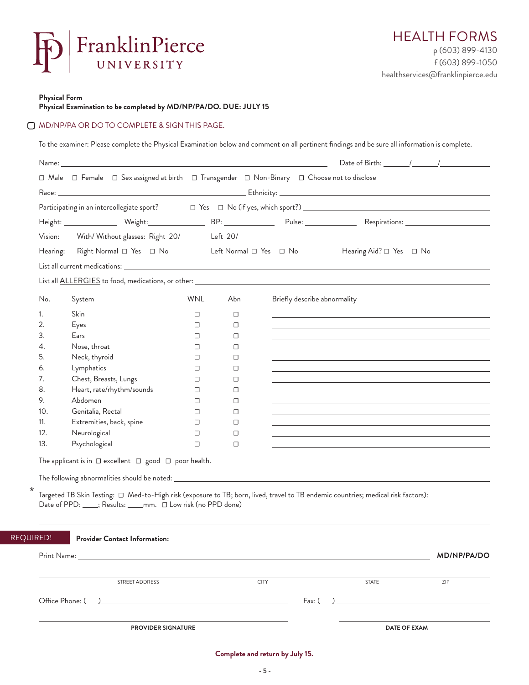

**Physical Form** 

REQU

**Physical Examination to be completed by MD/NP/PA/DO. DUE: JULY 15**

#### MD/NP/PA OR DO TO COMPLETE & SIGN THIS PAGE.

To the examiner: Please complete the Physical Examination below and comment on all pertinent findings and be sure all information is complete.

|                 | Name: the contract of the contract of the contract of the contract of the contract of the contract of the contract of the contract of the contract of the contract of the contract of the contract of the contract of the cont |            |             |                                  |                                                                                                                                                                                                                               | Date of Birth: $\frac{1}{\sqrt{2\pi}}$ |
|-----------------|--------------------------------------------------------------------------------------------------------------------------------------------------------------------------------------------------------------------------------|------------|-------------|----------------------------------|-------------------------------------------------------------------------------------------------------------------------------------------------------------------------------------------------------------------------------|----------------------------------------|
|                 | □ Male □ Female □ Sex assigned at birth □ Transgender □ Non-Binary □ Choose not to disclose                                                                                                                                    |            |             |                                  |                                                                                                                                                                                                                               |                                        |
|                 |                                                                                                                                                                                                                                |            |             |                                  |                                                                                                                                                                                                                               |                                        |
|                 |                                                                                                                                                                                                                                |            |             |                                  |                                                                                                                                                                                                                               |                                        |
|                 |                                                                                                                                                                                                                                |            |             |                                  |                                                                                                                                                                                                                               |                                        |
| Vision:         | With/Without glasses: Right 20/_______ Left 20/______                                                                                                                                                                          |            |             |                                  |                                                                                                                                                                                                                               |                                        |
|                 | Hearing: Right Normal □ Yes □ No                                                                                                                                                                                               |            |             | Left Normal $\Box$ Yes $\Box$ No | Hearing Aid? □ Yes □ No                                                                                                                                                                                                       |                                        |
|                 |                                                                                                                                                                                                                                |            |             |                                  |                                                                                                                                                                                                                               |                                        |
|                 |                                                                                                                                                                                                                                |            |             |                                  |                                                                                                                                                                                                                               |                                        |
|                 |                                                                                                                                                                                                                                |            |             |                                  |                                                                                                                                                                                                                               |                                        |
| No.             | System                                                                                                                                                                                                                         | <b>WNL</b> | Abn         | Briefly describe abnormality     |                                                                                                                                                                                                                               |                                        |
| 1.              | Skin                                                                                                                                                                                                                           | $\Box$     | $\Box$      |                                  | the control of the control of the control of the control of the control of the control of the control of the control of the control of the control of the control of the control of the control of the control of the control |                                        |
| 2.              | Eyes                                                                                                                                                                                                                           | □          | $\Box$      |                                  |                                                                                                                                                                                                                               |                                        |
| 3.              | Ears                                                                                                                                                                                                                           | □          | $\Box$      |                                  |                                                                                                                                                                                                                               |                                        |
| 4.              | Nose, throat                                                                                                                                                                                                                   | □          | $\Box$      |                                  |                                                                                                                                                                                                                               |                                        |
| 5.              | Neck, thyroid                                                                                                                                                                                                                  | □          | $\Box$      |                                  |                                                                                                                                                                                                                               |                                        |
| 6.              | Lymphatics                                                                                                                                                                                                                     | □          | $\Box$      |                                  |                                                                                                                                                                                                                               |                                        |
| 7.              | Chest, Breasts, Lungs                                                                                                                                                                                                          | □          | $\Box$      |                                  |                                                                                                                                                                                                                               |                                        |
| 8.              | Heart, rate/rhythm/sounds                                                                                                                                                                                                      | □          | □           |                                  |                                                                                                                                                                                                                               |                                        |
| 9.              | Abdomen                                                                                                                                                                                                                        | □          | $\Box$      |                                  |                                                                                                                                                                                                                               |                                        |
| 10.             | Genitalia, Rectal                                                                                                                                                                                                              | □          | $\Box$      |                                  |                                                                                                                                                                                                                               |                                        |
| 11.             | Extremities, back, spine                                                                                                                                                                                                       | □          | $\Box$      |                                  |                                                                                                                                                                                                                               |                                        |
| 12.             | Neurological                                                                                                                                                                                                                   | $\Box$     | $\Box$      |                                  |                                                                                                                                                                                                                               |                                        |
| 13.             | Psychological                                                                                                                                                                                                                  | $\Box$     | $\Box$      |                                  |                                                                                                                                                                                                                               |                                        |
|                 | The applicant is in $\Box$ excellent $\Box$ good $\Box$ poor health.                                                                                                                                                           |            |             |                                  |                                                                                                                                                                                                                               |                                        |
|                 | Targeted TB Skin Testing: □ Med-to-High risk (exposure to TB; born, lived, travel to TB endemic countries; medical risk factors):<br>Date of PPD: ____; Results: ____mm. □ Low risk (no PPD done)                              |            |             |                                  |                                                                                                                                                                                                                               |                                        |
| JIRED!          | <b>Provider Contact Information:</b>                                                                                                                                                                                           |            |             |                                  |                                                                                                                                                                                                                               |                                        |
| Print Name:     | <u> 1989 - John Stein, Amerikaansk konstantinopler († 1989)</u>                                                                                                                                                                |            |             |                                  |                                                                                                                                                                                                                               | <b>MD/NP/PA/DO</b>                     |
|                 | STREET ADDRESS                                                                                                                                                                                                                 |            | <b>CITY</b> |                                  | <b>STATE</b>                                                                                                                                                                                                                  | ZIP                                    |
| Office Phone: ( | $\overline{a}$                                                                                                                                                                                                                 |            |             | Fax: (                           | $\overline{a}$                                                                                                                                                                                                                |                                        |
|                 |                                                                                                                                                                                                                                |            |             |                                  |                                                                                                                                                                                                                               |                                        |
|                 |                                                                                                                                                                                                                                |            |             |                                  |                                                                                                                                                                                                                               |                                        |

**Complete and return by July 15.**